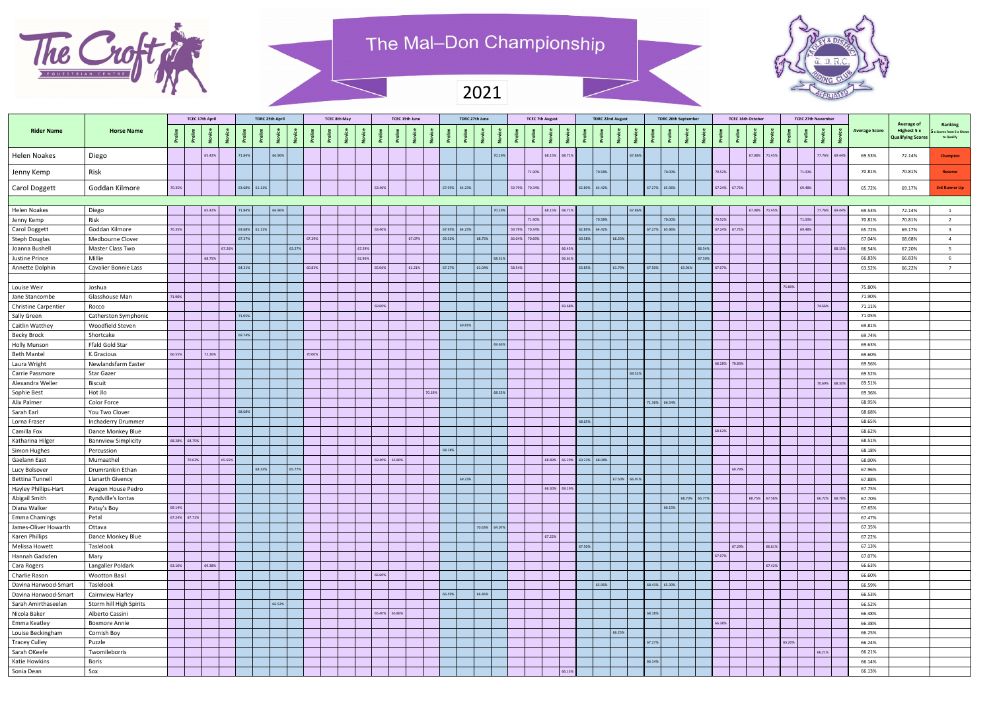

## The Mal-Don Championship

|                             |                             |               | <b>TCEC 17th April</b> |        | <b>TDRC 25th April</b> |               |        |        | <b>TCEC 8th May</b> |        |               | TCEC 19th June |               | TDRC 27th June |                  | <b>TCEC 7th August</b>      |        | <b>TDRC 22nd August</b> |        |               | <b>TDRC 26th September</b> |               | <b>TCEC 16th October</b> | <b>TCEC 27th November</b> |        |        |               |                      |                                                       |                                                  |
|-----------------------------|-----------------------------|---------------|------------------------|--------|------------------------|---------------|--------|--------|---------------------|--------|---------------|----------------|---------------|----------------|------------------|-----------------------------|--------|-------------------------|--------|---------------|----------------------------|---------------|--------------------------|---------------------------|--------|--------|---------------|----------------------|-------------------------------------------------------|--------------------------------------------------|
| <b>Rider Name</b>           | <b>Horse Name</b>           |               |                        |        |                        |               |        |        |                     |        |               |                |               |                |                  |                             |        |                         |        |               |                            |               |                          |                           |        |        |               | <b>Average Score</b> | Average of<br>Highest 5 x<br><b>Qualifying Scores</b> | Ranking<br>x Scores from 5 x Shows<br>to Qualify |
| <b>Helen Noakes</b>         | Diego                       |               | 65.42%                 |        | 71.84%                 | 66.96%        |        |        |                     |        |               |                |               | 70.19%         |                  | 68.15% 68.71%               |        |                         | 67.86% |               |                            |               | 67.08%                   | 71.45%                    |        |        | 77.76% 69.44% | 69.53%               | 72.14%                                                | Champion                                         |
| Jenny Kemp                  | Risk                        |               |                        |        |                        |               |        |        |                     |        |               |                |               |                | 71.90%           |                             |        | 70.58%                  |        |               | 70.00%                     | 70.52%        |                          |                           |        | 71.03% |               | 70.81%               | 70.81%                                                | <b>Reserve</b>                                   |
| Carol Doggett               | Goddan Kilmore              | 70.35%        |                        |        |                        | 63.68% 61.11% |        |        |                     |        | 63.40%        |                | 67.95% 64.23% |                | 59.79%<br>70.34% |                             | 62.89% | 64.42%                  |        | 67.27% 65.96% |                            |               | 67.24% 67.71%            |                           |        | 69.48% |               | 65.72%               | 69.17%                                                | <b>3rd Runner Up</b>                             |
|                             |                             |               |                        |        |                        |               |        |        |                     |        |               |                |               |                |                  |                             |        |                         |        |               |                            |               |                          |                           |        |        |               |                      |                                                       |                                                  |
| <b>Helen Noakes</b>         | Diego                       |               | 65.42%                 |        | 71.84%                 | 66.96%        |        |        |                     |        |               |                |               | 70.19%         |                  | 68.15% 68.71%               |        |                         | 67.86% |               |                            |               | 67.08%                   | 71.45%                    |        |        | 77.76% 69.44% | 69.53%               | 72.14%                                                | $\overline{1}$                                   |
| Jenny Kemp                  | Risk                        |               |                        |        |                        |               |        |        |                     |        |               |                |               |                | 71.90%           |                             |        | 70.58%                  |        |               | 70.00%                     | 70.52%        |                          |                           |        | 71.03% |               | 70.81%               | 70.81%                                                | $\overline{2}$                                   |
| <b>Carol Doggett</b>        | Goddan Kilmore              | 70.35%        |                        |        |                        | 63.68% 61.11% |        |        |                     |        | 63.40%        |                | 67.95% 64.23% |                | 59.79% 70.34%    |                             |        | 62.89% 64.42%           |        | 67.27% 65.96% |                            |               | 67.24% 67.71%            |                           |        | 69.48% |               | 65.72%               | 69.17%                                                |                                                  |
| Steph Douglas               | Medbourne Clover            |               |                        |        | 67.37%                 |               |        | 67.29% |                     |        |               | 67.07%         | 69.32%        | 68.75%         | 66.04% 70.69%    |                             | 60.58% | 66.25%                  |        |               |                            |               |                          |                           |        |        |               | 67.04%               | 68.68%                                                | $\Lambda$                                        |
| Joanna Bushell              | Master Class Two            |               |                        | 67.26% |                        |               | 63.27% |        |                     | 67.59% |               |                |               |                |                  | 66.45%                      |        |                         |        |               |                            | 66.54%        |                          |                           |        |        | 68.15%        | 66.54%               | 67.20%                                                |                                                  |
| Justine Prince              | Millie                      |               | 68.75%                 |        |                        |               |        |        |                     | 62.96% |               |                |               | 68.31%         |                  | 66.61%                      |        |                         |        |               |                            | 67.50%        |                          |                           |        |        |               | 66.83%               | 66.83%                                                |                                                  |
| Annette Dolphin             | <b>Cavalier Bonnie Lass</b> |               |                        |        | 64.21%                 |               |        | 60.83% |                     |        | 65.06%        | 61.21%         | 67.27%        | 61.04%         | 58.54%           |                             | 63.85% | 61.79%                  |        | 67.50%        | 63.91%                     | 67.07%        |                          |                           |        |        |               | 63.52%               | 66.22%                                                | $\overline{z}$                                   |
| Louise Weir                 | Joshua                      |               |                        |        |                        |               |        |        |                     |        |               |                |               |                |                  |                             |        |                         |        |               |                            |               |                          |                           | 75.80% |        |               | 75.80%               |                                                       |                                                  |
| Jane Stancombe              | Glasshouse Man              | 71.90%        |                        |        |                        |               |        |        |                     |        |               |                |               |                |                  |                             |        |                         |        |               |                            |               |                          |                           |        |        |               | 71.90%               |                                                       |                                                  |
| <b>Christine Carpentier</b> | Rocco                       |               |                        |        |                        |               |        |        |                     |        | 69.00%        |                |               |                |                  | 69.68%                      |        |                         |        |               |                            |               |                          |                           |        |        | 74.66%        | 71.11%               |                                                       |                                                  |
| Sally Green                 | Catherston Symphonic        |               |                        |        | 71.05%                 |               |        |        |                     |        |               |                |               |                |                  |                             |        |                         |        |               |                            |               |                          |                           |        |        |               | 71.05%               |                                                       |                                                  |
| <b>Caitlin Watthey</b>      | Woodfield Steven            |               |                        |        |                        |               |        |        |                     |        |               |                | 69.81%        |                |                  |                             |        |                         |        |               |                            |               |                          |                           |        |        |               | 69.81%               |                                                       |                                                  |
| <b>Becky Brock</b>          | Shortcake                   |               |                        |        | 69.74%                 |               |        |        |                     |        |               |                |               |                |                  |                             |        |                         |        |               |                            |               |                          |                           |        |        |               | 69.74%               |                                                       |                                                  |
| <b>Holly Munson</b>         | Ffald Gold Star             |               |                        |        |                        |               |        |        |                     |        |               |                |               | 69.63%         |                  |                             |        |                         |        |               |                            |               |                          |                           |        |        |               | 69.63%               |                                                       |                                                  |
| <b>Beth Mantel</b>          | K.Gracious                  | 66.55%        | 72.26%                 |        |                        |               |        | 70.00% |                     |        |               |                |               |                |                  |                             |        |                         |        |               |                            |               |                          |                           |        |        |               | 69.60%               |                                                       |                                                  |
| Laura Wright                | Newlandsfarm Easter         |               |                        |        |                        |               |        |        |                     |        |               |                |               |                |                  |                             |        |                         |        |               |                            |               | 68.28% 70.83%            |                           |        |        |               | 69.56%               |                                                       |                                                  |
| Carrie Passmore             | <b>Star Gazer</b>           |               |                        |        |                        |               |        |        |                     |        |               |                |               |                |                  |                             |        |                         | 69.52% |               |                            |               |                          |                           |        |        |               | 69.52%               |                                                       |                                                  |
| Alexandra Weller            | <b>Biscuit</b>              |               |                        |        |                        |               |        |        |                     |        |               |                |               |                |                  |                             |        |                         |        |               |                            |               |                          |                           |        |        | 70.69% 68.33% | 69.51%               |                                                       |                                                  |
| Sophie Best                 | Hot Jlo                     |               |                        |        |                        |               |        |        |                     |        |               | 70.19%         |               | 68.52%         |                  |                             |        |                         |        |               |                            |               |                          |                           |        |        |               | 69.36%               |                                                       |                                                  |
| Alix Palmer                 | <b>Color Force</b>          |               |                        |        |                        |               |        |        |                     |        |               |                |               |                |                  |                             |        |                         |        | 71.36% 66.54% |                            |               |                          |                           |        |        |               | 68.95%               |                                                       |                                                  |
| Sarah Earl                  | You Two Clover              |               |                        |        | 68.68%                 |               |        |        |                     |        |               |                |               |                |                  |                             |        |                         |        |               |                            |               |                          |                           |        |        |               | 68.68%               |                                                       |                                                  |
| Lorna Fraser                | <b>Inchaderry Drummer</b>   |               |                        |        |                        |               |        |        |                     |        |               |                |               |                |                  |                             | 68.65% |                         |        |               |                            |               |                          |                           |        |        |               | 68.65%               |                                                       |                                                  |
| Camilla Fox                 | Dance Monkey Blue           |               |                        |        |                        |               |        |        |                     |        |               |                |               |                |                  |                             |        |                         |        |               |                            | 68.62%        |                          |                           |        |        |               | 68.62%               |                                                       |                                                  |
| Katharina Hilger            | <b>Bannview Simplicity</b>  | 68.28% 68.75% |                        |        |                        |               |        |        |                     |        |               |                |               |                |                  |                             |        |                         |        |               |                            |               |                          |                           |        |        |               | 68.51%               |                                                       |                                                  |
| <b>Simon Hughes</b>         | Percussion                  |               |                        |        |                        |               |        |        |                     |        |               |                | 68.18%        |                |                  |                             |        |                         |        |               |                            |               |                          |                           |        |        |               | 68.18%               |                                                       |                                                  |
| Gaelann East                | Mumaathel                   |               | 70.63%                 | 65.65% |                        |               |        |        |                     |        | 69.40% 65.86% |                |               |                |                  | 68.89% 66.29% 69.23% 68.08% |        |                         |        |               |                            |               |                          |                           |        |        |               | 68.00%               |                                                       |                                                  |
| Lucy Bolsover               | Drumrankin Ethan            |               |                        |        |                        | 68.33%        | 65.77% |        |                     |        |               |                |               |                |                  |                             |        |                         |        |               |                            |               | 69.79%                   |                           |        |        |               | 67.96%               |                                                       |                                                  |
| <b>Bettina Tunnell</b>      | <b>Llanarth Givency</b>     |               |                        |        |                        |               |        |        |                     |        |               |                | 69.23%        |                |                  |                             |        | 67.50% 66.91%           |        |               |                            |               |                          |                           |        |        |               | 67.88%               |                                                       |                                                  |
| Hayley Phillips-Hart        | Aragon House Pedro          |               |                        |        |                        |               |        |        |                     |        |               |                |               |                |                  | 66.30% 69.19%               |        |                         |        |               |                            |               |                          |                           |        |        |               | 67.75%               |                                                       |                                                  |
| Abigail Smith               | Ryndville's lontas          |               |                        |        |                        |               |        |        |                     |        |               |                |               |                |                  |                             |        |                         |        |               |                            | 68.70% 65.77% |                          | 68.75% 67.58%             |        |        | 66.72% 68.70% | 67.70%               |                                                       |                                                  |
| Diana Walker                | Patsy's Boy                 | 69.14%        |                        |        |                        |               |        |        |                     |        |               |                |               |                |                  |                             |        |                         |        |               | 66.15%                     |               |                          |                           |        |        |               | 67.65%               |                                                       |                                                  |
| <b>Emma Chamings</b>        | Petal                       |               | 67.24% 67.71%          |        |                        |               |        |        |                     |        |               |                |               |                |                  |                             |        |                         |        |               |                            |               |                          |                           |        |        |               | 67.47%               |                                                       |                                                  |
| James-Oliver Howarth        | Ottava                      |               |                        |        |                        |               |        |        |                     |        |               |                |               | 70.63% 64.07%  |                  |                             |        |                         |        |               |                            |               |                          |                           |        |        |               | 67.35%               |                                                       |                                                  |
| <b>Karen Phillips</b>       | Dance Monkey Blue           |               |                        |        |                        |               |        |        |                     |        |               |                |               |                |                  | 67.22%                      |        |                         |        |               |                            |               |                          |                           |        |        |               | 67.22%               |                                                       |                                                  |
| Melissa Howett              | Taslelook                   |               |                        |        |                        |               |        |        |                     |        |               |                |               |                |                  |                             | 67.50% |                         |        |               |                            |               | 67.29%                   | 66.61%                    |        |        |               | 67.13%               |                                                       |                                                  |
| Hannah Gadsden              | Mary                        |               |                        |        |                        |               |        |        |                     |        |               |                |               |                |                  |                             |        |                         |        |               |                            | 67.07%        |                          |                           |        |        |               | 67.07%               |                                                       |                                                  |
| Cara Rogers                 | Langaller Poldark           | 63.10%        | 69.38%                 |        |                        |               |        |        |                     |        |               |                |               |                |                  |                             |        |                         |        |               |                            |               |                          | 67.42%                    |        |        |               | 66.63%               |                                                       |                                                  |
| Charlie Rason               | <b>Wootton Basil</b>        |               |                        |        |                        |               |        |        |                     |        | 66.60%        |                |               |                |                  |                             |        |                         |        |               |                            |               |                          |                           |        |        |               | 66.60%               |                                                       |                                                  |
| Davina Harwood-Smart        | Taslelook                   |               |                        |        |                        |               |        |        |                     |        |               |                |               |                |                  |                             |        | 65.96%                  |        | 68.41% 65.39% |                            |               |                          |                           |        |        |               | 66.59%               |                                                       |                                                  |
| Davina Harwood-Smart        | Cairnview Harley            |               |                        |        |                        |               |        |        |                     |        |               |                | 66.59%        | 66.46%         |                  |                             |        |                         |        |               |                            |               |                          |                           |        |        |               | 66.53%               |                                                       |                                                  |
| Sarah Amirthaseelan         | Storm hill High Spirits     |               |                        |        |                        | 66.52%        |        |        |                     |        |               |                |               |                |                  |                             |        |                         |        |               |                            |               |                          |                           |        |        |               | 66.52%               |                                                       |                                                  |
| Nicola Baker                | Alberto Cassini             |               |                        |        |                        |               |        |        |                     |        | 65.40% 65.86% |                |               |                |                  |                             |        |                         |        | 68.18%        |                            |               |                          |                           |        |        |               | 66.48%               |                                                       |                                                  |
| Emma Keatley                | <b>Boxmore Annie</b>        |               |                        |        |                        |               |        |        |                     |        |               |                |               |                |                  |                             |        |                         |        |               |                            | 66.38%        |                          |                           |        |        |               | 66.38%               |                                                       |                                                  |
| Louise Beckingham           | Cornish Boy                 |               |                        |        |                        |               |        |        |                     |        |               |                |               |                |                  |                             |        | 66.25%                  |        |               |                            |               |                          |                           |        |        |               | 66.25%               |                                                       |                                                  |
| <b>Tracey Culley</b>        | Puzzle                      |               |                        |        |                        |               |        |        |                     |        |               |                |               |                |                  |                             |        |                         |        | 67.27%        |                            |               |                          |                           | 65.20% |        |               | 66.24%               |                                                       |                                                  |
| Sarah OKeefe                | Twomileborris               |               |                        |        |                        |               |        |        |                     |        |               |                |               |                |                  |                             |        |                         |        |               |                            |               |                          |                           |        |        | 66.21%        | 66.21%               |                                                       |                                                  |
| Katie Howkins               | Boris                       |               |                        |        |                        |               |        |        |                     |        |               |                |               |                |                  |                             |        |                         |        | 66.14%        |                            |               |                          |                           |        |        |               | 66.14%               |                                                       |                                                  |
| Sonia Dean                  | Sox                         |               |                        |        |                        |               |        |        |                     |        |               |                |               |                |                  | 66.13%                      |        |                         |        |               |                            |               |                          |                           |        |        |               | 66.13%               |                                                       |                                                  |



2021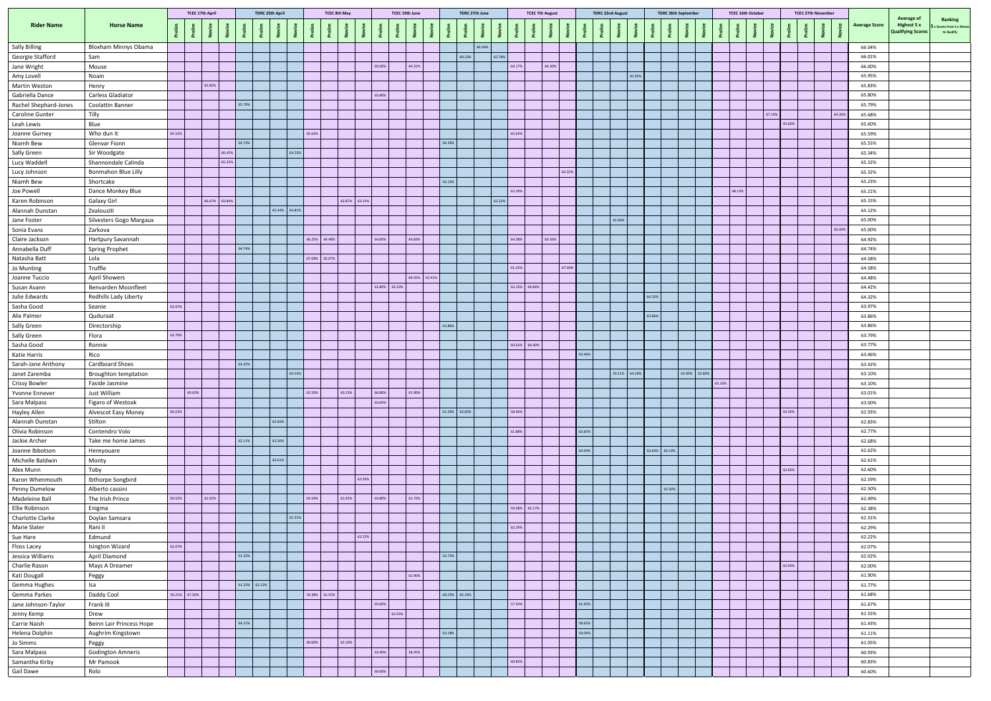|                                    |                               |               |        | <b>TCEC 17th April</b> |               | <b>TDRC 25th April</b> |               |               |               | <b>TCEC 8th May</b> |               | TCEC 19th June |               | TDRC 27th June |               | <b>TCEC 7th August</b> |        | <b>TDRC 22nd August</b> |               | <b>TDRC 26th September</b> |        | <b>TCEC 16th October</b> |        | <b>TCEC 27th November</b> |                |        |                      |                                                       |                                                 |
|------------------------------------|-------------------------------|---------------|--------|------------------------|---------------|------------------------|---------------|---------------|---------------|---------------------|---------------|----------------|---------------|----------------|---------------|------------------------|--------|-------------------------|---------------|----------------------------|--------|--------------------------|--------|---------------------------|----------------|--------|----------------------|-------------------------------------------------------|-------------------------------------------------|
| <b>Rider Name</b>                  | <b>Horse Name</b>             |               |        |                        |               |                        |               |               |               |                     |               |                |               |                |               |                        |        |                         |               |                            |        |                          |        |                           | $\overline{z}$ |        | <b>Average Score</b> | Average of<br>Highest 5 x<br><b>Qualifying Scores</b> | Ranking<br>x Scores from 5 x Show<br>to Qualify |
| <b>Sally Billing</b>               | <b>Bloxham Minnys Obama</b>   |               |        |                        |               |                        |               |               |               |                     |               |                |               | 66.04%         |               |                        |        |                         |               |                            |        |                          |        |                           |                |        | 66.04%               |                                                       |                                                 |
| Georgie Stafford                   | Sam                           |               |        |                        |               |                        |               |               |               |                     |               |                | 69.23%        | 62.78%         |               |                        |        |                         |               |                            |        |                          |        |                           |                |        | 66.01%               |                                                       |                                                 |
| Jane Wright                        | Mouse                         |               |        |                        |               |                        |               |               |               |                     | 69.20%        | 64.31%         |               |                | 64.17%        | 66.30%                 |        |                         |               |                            |        |                          |        |                           |                |        | 66.00%               |                                                       |                                                 |
| Amy Lovell                         | Noain                         |               |        |                        |               |                        |               |               |               |                     |               |                |               |                |               |                        |        | 65.95%                  |               |                            |        |                          |        |                           |                |        | 65.95%               |                                                       |                                                 |
| Martin Weston                      | Henry                         |               |        | 65.83%                 |               |                        |               |               |               |                     |               |                |               |                |               |                        |        |                         |               |                            |        |                          |        |                           |                |        | 65.83%               |                                                       |                                                 |
| Gabriella Dance                    | Carless Gladiator             |               |        |                        |               |                        |               |               |               |                     | 65.80%        |                |               |                |               |                        |        |                         |               |                            |        |                          |        |                           |                |        | 65.80%               |                                                       |                                                 |
| Rachel Shephard-Jones              | Coolattin Banner              |               |        |                        |               | 65.79%                 |               |               |               |                     |               |                |               |                |               |                        |        |                         |               |                            |        |                          |        |                           |                |        | 65.79%               |                                                       |                                                 |
| <b>Caroline Gunter</b>             | Tilly                         |               |        |                        |               |                        |               |               |               |                     |               |                |               |                |               |                        |        |                         |               |                            |        |                          | 67.10% |                           |                | 64.26% | 65.68%               |                                                       |                                                 |
| Leah Lewis                         | Blue<br>Who dun it            | 65.52%        |        |                        |               |                        |               |               | 65.63%        |                     |               |                |               |                | 65.63%        |                        |        |                         |               |                            |        |                          | 65.60% |                           |                |        | 65.60%<br>65.59%     |                                                       |                                                 |
| Joanne Gurney<br>Niamh Bew         | <b>Glenvar Fionn</b>          |               |        |                        |               | 64.74%                 |               |               |               |                     |               |                | 66.36%        |                |               |                        |        |                         |               |                            |        |                          |        |                           |                |        | 65.55%               |                                                       |                                                 |
| Sally Green                        | Sir Woodgate                  |               |        |                        | 66.45%        |                        |               | 64.23%        |               |                     |               |                |               |                |               |                        |        |                         |               |                            |        |                          |        |                           |                |        | 65.34%               |                                                       |                                                 |
| Lucy Waddell                       | Shannondale Calinda           |               |        |                        | 65.32%        |                        |               |               |               |                     |               |                |               |                |               |                        |        |                         |               |                            |        |                          |        |                           |                |        | 65.32%               |                                                       |                                                 |
| Lucy Johnson                       | <b>Bonmahon Blue Lilly</b>    |               |        |                        |               |                        |               |               |               |                     |               |                |               |                |               | 65.32%                 |        |                         |               |                            |        |                          |        |                           |                |        | 65.32%               |                                                       |                                                 |
| Niamh Bew                          | Shortcake                     |               |        |                        |               |                        |               |               |               |                     |               |                | 65.23%        |                |               |                        |        |                         |               |                            |        |                          |        |                           |                |        | 65.23%               |                                                       |                                                 |
| Joe Powell                         | Dance Monkey Blue             |               |        |                        |               |                        |               |               |               |                     |               |                |               |                | 62.29%        |                        |        |                         |               |                            |        | 68.13%                   |        |                           |                |        | 65.21%               |                                                       |                                                 |
| <b>Karen Robinson</b>              | <b>Galaxy Girl</b>            |               |        |                        | 66.67% 69.84% |                        |               |               |               | 63.87% 63.15%       |               |                |               | 62.22%         |               |                        |        |                         |               |                            |        |                          |        |                           |                |        | 65.15%               |                                                       |                                                 |
| Alannah Dunstan                    | ZealousIII                    |               |        |                        |               |                        |               | 65.44% 64.81% |               |                     |               |                |               |                |               |                        |        |                         |               |                            |        |                          |        |                           |                |        | 65.12%               |                                                       |                                                 |
| Jane Foster                        | Silvesters Gogo Margaux       |               |        |                        |               |                        |               |               |               |                     |               |                |               |                |               |                        |        | 65.00%                  |               |                            |        |                          |        |                           |                |        | 65.00%               |                                                       |                                                 |
| Sonia Evans                        | Zarkova                       |               |        |                        |               |                        |               |               |               |                     |               |                |               |                |               |                        |        |                         |               |                            |        |                          |        |                           |                | 65.00% | 65.00%               |                                                       |                                                 |
| Claire Jackson                     | Hartpury Savannah             |               |        |                        |               |                        |               |               | 66.25% 64.48% |                     | 64.00%        | 64.83%         |               |                | 64.38%        | 65.56%                 |        |                         |               |                            |        |                          |        |                           |                |        | 64.92%               |                                                       |                                                 |
| Annabella Duff<br>Natasha Batt     | <b>Spring Prophet</b><br>Lola |               |        |                        |               | 64.74%                 |               |               | 67.08% 62.07% |                     |               |                |               |                |               |                        |        |                         |               |                            |        |                          |        |                           |                |        | 64.74%<br>64.58%     |                                                       |                                                 |
| Jo Munting                         | Truffle                       |               |        |                        |               |                        |               |               |               |                     |               |                |               |                | 61.25%        | 67.90%                 |        |                         |               |                            |        |                          |        |                           |                |        | 64.58%               |                                                       |                                                 |
| Joanne Tuccio                      | <b>April Showers</b>          |               |        |                        |               |                        |               |               |               |                     |               | 66.55% 62.41%  |               |                |               |                        |        |                         |               |                            |        |                          |        |                           |                |        | 64.48%               |                                                       |                                                 |
| Susan Avann                        | Benvarden Moonfleet           |               |        |                        |               |                        |               |               |               |                     | 61.80% 63.10% |                |               |                | 63.13% 69.66% |                        |        |                         |               |                            |        |                          |        |                           |                |        | 64.42%               |                                                       |                                                 |
| Julie Edwards                      | Redhills Lady Liberty         |               |        |                        |               |                        |               |               |               |                     |               |                |               |                |               |                        |        |                         | 64.32%        |                            |        |                          |        |                           |                |        | 64.32%               |                                                       |                                                 |
| Sasha Good                         | Seanie                        | 63.97%        |        |                        |               |                        |               |               |               |                     |               |                |               |                |               |                        |        |                         |               |                            |        |                          |        |                           |                |        | 63.97%               |                                                       |                                                 |
| Alix Palmer                        | Quduraat                      |               |        |                        |               |                        |               |               |               |                     |               |                |               |                |               |                        |        |                         | 63.86%        |                            |        |                          |        |                           |                |        | 63.86%               |                                                       |                                                 |
| Sally Green                        | Directorship                  |               |        |                        |               |                        |               |               |               |                     |               |                | 63.86%        |                |               |                        |        |                         |               |                            |        |                          |        |                           |                |        | 63.86%               |                                                       |                                                 |
| Sally Green                        | Flora                         | 63.79%        |        |                        |               |                        |               |               |               |                     |               |                |               |                |               |                        |        |                         |               |                            |        |                          |        |                           |                |        | 63.79%               |                                                       |                                                 |
| Sasha Good                         | Ronnie                        |               |        |                        |               |                        |               |               |               |                     |               |                |               |                | 60.63% 66.90% |                        |        |                         |               |                            |        |                          |        |                           |                |        | 63.77%               |                                                       |                                                 |
| Katie Harris<br>Sarah-Jane Anthony | Rico<br>Cardboard Shoes       |               |        |                        |               | 63.42%                 |               |               |               |                     |               |                |               |                |               |                        | 63.46% |                         |               |                            |        |                          |        |                           |                |        | 63.46%<br>63.42%     |                                                       |                                                 |
| Janet Zaremba                      | <b>Broughton temptation</b>   |               |        |                        |               |                        |               | 64.23%        |               |                     |               |                |               |                |               |                        |        | 59.11% 64.29%           |               | 65.00% 62.89%              |        |                          |        |                           |                |        | 63.10%               |                                                       |                                                 |
| <b>Crissy Bowler</b>               | Faside Jasmine                |               |        |                        |               |                        |               |               |               |                     |               |                |               |                |               |                        |        |                         |               |                            | 63.10% |                          |        |                           |                |        | 63.10%               |                                                       |                                                 |
| Yvonne Ennever                     | Just William                  |               | 60.63% |                        |               |                        |               |               | 62.50%        | 63.23%              | 66.80%        | 61.90%         |               |                |               |                        |        |                         |               |                            |        |                          |        |                           |                |        | 63.01%               |                                                       |                                                 |
| Sara Malpass                       | Figaro of Westoak             |               |        |                        |               |                        |               |               |               |                     | 63.00%        |                |               |                |               |                        |        |                         |               |                            |        |                          |        |                           |                |        | 63.00%               |                                                       |                                                 |
| Hayley Allen                       | <b>Alvescot Easy Money</b>    | 66.03%        |        |                        |               |                        |               |               |               |                     |               |                | 61.59% 63.85% |                | 58.96%        |                        |        |                         |               |                            |        |                          | 64.20% |                           |                |        | 62.93%               |                                                       |                                                 |
| Alannah Dunstan                    | Stilton                       |               |        |                        |               |                        | 62.83%        |               |               |                     |               |                |               |                |               |                        |        |                         |               |                            |        |                          |        |                           |                |        | 62.83%               |                                                       |                                                 |
| Olivia Robinson                    | Contendro Volo                |               |        |                        |               |                        |               |               |               |                     |               |                |               |                | 61.88%        |                        | 63.65% |                         |               |                            |        |                          |        |                           |                |        | 62.77%               |                                                       |                                                 |
| Jackie Archer                      | Take me home James            |               |        |                        |               | 62.11%                 | 63.26%        |               |               |                     |               |                |               |                |               |                        |        |                         |               |                            |        |                          |        |                           |                |        | 62.68%               |                                                       |                                                 |
| Joanne Ibbotson                    | Hereyouare                    |               |        |                        |               |                        |               |               |               |                     |               |                |               |                |               |                        | 64.04% |                         | 63.64% 60.19% |                            |        |                          |        |                           |                |        | 62.62%               |                                                       |                                                 |
| Michelle Baldwin                   | Monty                         |               |        |                        |               |                        | 62.61%        |               |               |                     |               |                |               |                |               |                        |        |                         |               |                            |        |                          | 62.60% |                           |                |        | 62.61%<br>62.60%     |                                                       |                                                 |
| Alex Munn<br>Karon Whenmouth       | Toby<br>Ibthorpe Songbird     |               |        |                        |               |                        |               |               |               | 62.59%              |               |                |               |                |               |                        |        |                         |               |                            |        |                          |        |                           |                |        | 62.59%               |                                                       |                                                 |
| Penny Dumelow                      | Alberto cassini               |               |        |                        |               |                        |               |               |               |                     |               |                |               |                |               |                        |        |                         | 62.50%        |                            |        |                          |        |                           |                |        | 62.50%               |                                                       |                                                 |
| Madeleine Ball                     | The Irish Prince              | 60.52%        |        | 62.92%                 |               |                        |               |               | 63.54%        | 61.45%              | 64.80%        | 61.72%         |               |                |               |                        |        |                         |               |                            |        |                          |        |                           |                |        | 62.49%               |                                                       |                                                 |
| Ellie Robinson                     | Enigma                        |               |        |                        |               |                        |               |               |               |                     |               |                |               |                | 59.58% 65.17% |                        |        |                         |               |                            |        |                          |        |                           |                |        | 62.38%               |                                                       |                                                 |
| <b>Charlotte Clarke</b>            | Doylan Samsara                |               |        |                        |               |                        |               | 62.31%        |               |                     |               |                |               |                |               |                        |        |                         |               |                            |        |                          |        |                           |                |        | 62.31%               |                                                       |                                                 |
| <b>Marie Slater</b>                | Rani II                       |               |        |                        |               |                        |               |               |               |                     |               |                |               |                | 62.29%        |                        |        |                         |               |                            |        |                          |        |                           |                |        | 62.29%               |                                                       |                                                 |
| Sue Hare                           | Edmund                        |               |        |                        |               |                        |               |               |               | 62.22%              |               |                |               |                |               |                        |        |                         |               |                            |        |                          |        |                           |                |        | 62.22%               |                                                       |                                                 |
| Floss Lacey                        | Isington Wizard               | 62.07%        |        |                        |               |                        |               |               |               |                     |               |                |               |                |               |                        |        |                         |               |                            |        |                          |        |                           |                |        | 62.07%               |                                                       |                                                 |
| Jessica Williams                   | April Diamond                 |               |        |                        |               | 61.32%                 |               |               |               |                     |               |                | 62.73%        |                |               |                        |        |                         |               |                            |        |                          |        |                           |                |        | 62.02%               |                                                       |                                                 |
| Charlie Rason                      | Mays A Dreamer                |               |        |                        |               |                        |               |               |               |                     |               |                |               |                |               |                        |        |                         |               |                            |        |                          | 62.00% |                           |                |        | 62.00%               |                                                       |                                                 |
| Kati Dougall                       | Peggy                         |               |        |                        |               |                        | 61.32% 62.22% |               |               |                     |               | 61.90%         |               |                |               |                        |        |                         |               |                            |        |                          |        |                           |                |        | 61.90%               |                                                       |                                                 |
| Gemma Hughes<br>Gemma Parkes       | Isa<br>Daddy Cool             | 56.21% 67.50% |        |                        |               |                        |               |               | 59.38% 61.55% |                     |               |                | 60.23% 65.19% |                |               |                        |        |                         |               |                            |        |                          |        |                           |                |        | 61.77%<br>61.68%     |                                                       |                                                 |
| Jane Johnson-Taylor                | Frank III                     |               |        |                        |               |                        |               |               |               |                     | 65.60%        |                |               |                | 57.50%        |                        | 61.92% |                         |               |                            |        |                          |        |                           |                |        | 61.67%               |                                                       |                                                 |
| Jenny Kemp                         | Drew                          |               |        |                        |               |                        |               |               |               |                     | 61.55%        |                |               |                |               |                        |        |                         |               |                            |        |                          |        |                           |                |        | 61.55%               |                                                       |                                                 |
| Carrie Naish                       | Beinn Lair Princess Hope      |               |        |                        |               | 64.21%                 |               |               |               |                     |               |                |               |                |               |                        | 58.65% |                         |               |                            |        |                          |        |                           |                |        | 61.43%               |                                                       |                                                 |
| Helena Dolphin                     | Aughrim Kingstown             |               |        |                        |               |                        |               |               |               |                     |               |                | 63.18%        |                |               |                        | 59.04% |                         |               |                            |        |                          |        |                           |                |        | 61.11%               |                                                       |                                                 |
| Jo Simms                           | Peggy                         |               |        |                        |               |                        |               |               | 60.00%        | 62.10%              |               |                |               |                |               |                        |        |                         |               |                            |        |                          |        |                           |                |        | 61.05%               |                                                       |                                                 |
| Sara Malpass                       | <b>Godington Amneris</b>      |               |        |                        |               |                        |               |               |               |                     | 63.40%        | 58.45%         |               |                |               |                        |        |                         |               |                            |        |                          |        |                           |                |        | 60.93%               |                                                       |                                                 |
| Samantha Kirby                     | Mr Pamook                     |               |        |                        |               |                        |               |               |               |                     |               |                |               |                | 60.83%        |                        |        |                         |               |                            |        |                          |        |                           |                |        | 60.83%               |                                                       |                                                 |
| <b>Gail Dawe</b>                   | Rolo                          |               |        |                        |               |                        |               |               |               |                     | 60.60%        |                |               |                |               |                        |        |                         |               |                            |        |                          |        |                           |                |        | 60.60%               |                                                       |                                                 |